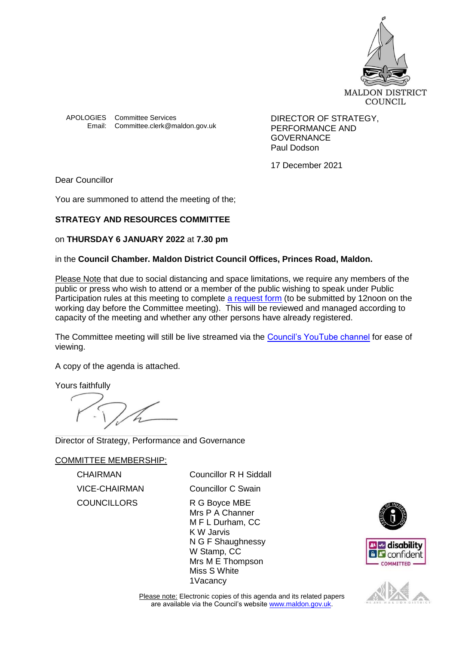

APOLOGIES Committee Services **DIRECTOR OF STRATEGY**, Email: Committee.clerk@maldon.gov.uk

PERFORMANCE AND GOVERNANCE Paul Dodson

17 December 2021

Dear Councillor

You are summoned to attend the meeting of the;

# **STRATEGY AND RESOURCES COMMITTEE**

## on **THURSDAY 6 JANUARY 2022** at **7.30 pm**

## in the **Council Chamber. Maldon District Council Offices, Princes Road, Maldon.**

Please Note that due to social distancing and space limitations, we require any members of the public or press who wish to attend or a member of the public wishing to speak under Public Participation rules at this meeting to complete [a request form](https://forms.office.com/Pages/ResponsePage.aspx?id=VH_RilQmuUumwvI0YlcqFJCd4KzoXBdDs1brNZU39TJUOVpCU0xQVlRWQlhHVU8wVThIMU03UjFLSC4u) (to be submitted by 12noon on the working day before the Committee meeting). This will be reviewed and managed according to capacity of the meeting and whether any other persons have already registered.

The Committee meeting will still be live streamed via the [Council's YouTube channel](https://www.youtube.com/channel/UCWKn8R24ZTbD3eaEJtq6bYw/featured) for ease of viewing.

A copy of the agenda is attached.

Yours faithfully

Director of Strategy, Performance and Governance

COMMITTEE MEMBERSHIP:

VICE-CHAIRMAN Councillor C Swain COUNCILLORS R G Boyce MBE

CHAIRMAN Councillor R H Siddall

Mrs P A Channer M F L Durham, CC K W Jarvis N G F Shaughnessy W Stamp, CC Mrs M E Thompson Miss S White 1Vacancy





Please note: Electronic copies of this agenda and its related papers are available via the Council's website [www.maldon.gov.uk.](http://www.maldon.gov.uk/)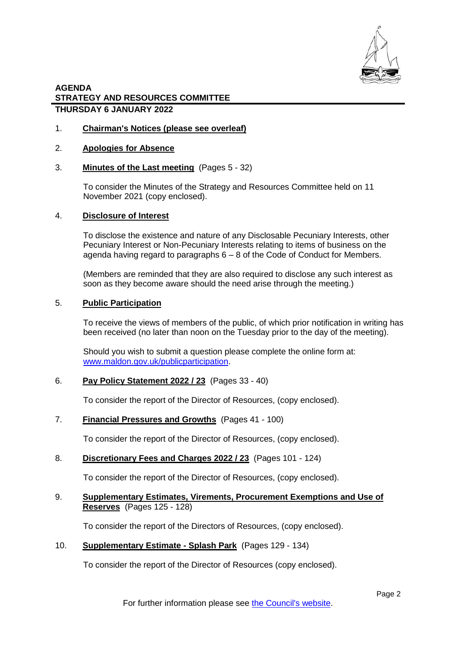

### **AGENDA STRATEGY AND RESOURCES COMMITTEE THURSDAY 6 JANUARY 2022**

1. **Chairman's Notices (please see overleaf)** 

### 2. **Apologies for Absence**

3. **Minutes of the Last meeting** (Pages 5 - 32)

To consider the Minutes of the Strategy and Resources Committee held on 11 November 2021 (copy enclosed).

#### 4. **Disclosure of Interest**

To disclose the existence and nature of any Disclosable Pecuniary Interests, other Pecuniary Interest or Non-Pecuniary Interests relating to items of business on the agenda having regard to paragraphs 6 – 8 of the Code of Conduct for Members.

(Members are reminded that they are also required to disclose any such interest as soon as they become aware should the need arise through the meeting.)

#### 5. **Public Participation**

To receive the views of members of the public, of which prior notification in writing has been received (no later than noon on the Tuesday prior to the day of the meeting).

Should you wish to submit a question please complete the online form at: [www.maldon.gov.uk/publicparticipation.](http://www.maldon.gov.uk/publicparticipation)

### 6. **Pay Policy Statement 2022 / 23** (Pages 33 - 40)

To consider the report of the Director of Resources, (copy enclosed).

### 7. **Financial Pressures and Growths** (Pages 41 - 100)

To consider the report of the Director of Resources, (copy enclosed).

#### 8. **Discretionary Fees and Charges 2022 / 23** (Pages 101 - 124)

To consider the report of the Director of Resources, (copy enclosed).

### 9. **Supplementary Estimates, Virements, Procurement Exemptions and Use of Reserves** (Pages 125 - 128)

To consider the report of the Directors of Resources, (copy enclosed).

#### 10. **Supplementary Estimate - Splash Park** (Pages 129 - 134)

To consider the report of the Director of Resources (copy enclosed).